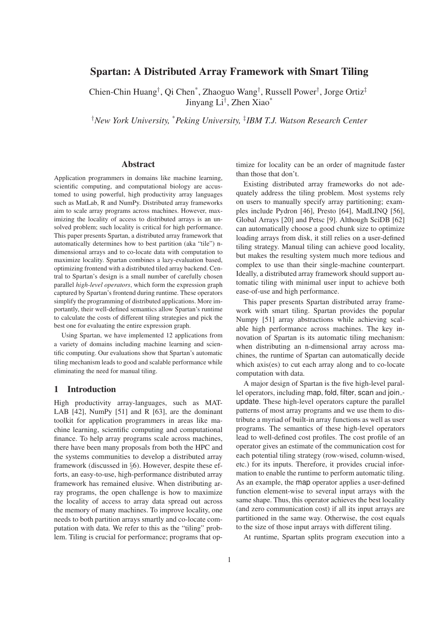# Spartan: A Distributed Array Framework with Smart Tiling

Chien-Chin Huang† , Qi Chen\* , Zhaoguo Wang† , Russell Power† , Jorge Ortiz‡ Jinyang Li† , Zhen Xiao\*

†*New York University,* \**Peking University,* ‡ *IBM T.J. Watson Research Center*

### Abstract

Application programmers in domains like machine learning, scientific computing, and computational biology are accustomed to using powerful, high productivity array languages such as MatLab, R and NumPy. Distributed array frameworks aim to scale array programs across machines. However, maximizing the locality of access to distributed arrays is an unsolved problem; such locality is critical for high performance. This paper presents Spartan, a distributed array framework that automatically determines how to best partition (aka "tile") ndimensional arrays and to co-locate data with computation to maximize locality. Spartan combines a lazy-evaluation based, optimizing frontend with a distributed tiled array backend. Central to Spartan's design is a small number of carefully chosen parallel *high-level operators*, which form the expression graph captured by Spartan's frontend during runtime. These operators simplify the programming of distributed applications. More importantly, their well-defined semantics allow Spartan's runtime to calculate the costs of different tiling strategies and pick the best one for evaluating the entire expression graph.

Using Spartan, we have implemented 12 applications from a variety of domains including machine learning and scientific computing. Our evaluations show that Spartan's automatic tiling mechanism leads to good and scalable performance while eliminating the need for manual tiling.

# 1 Introduction

High productivity array-languages, such as MAT-LAB  $[42]$ , NumPy  $[51]$  and R  $[63]$ , are the dominant toolkit for application programmers in areas like machine learning, scientific computing and computational finance. To help array programs scale across machines, there have been many proposals from both the HPC and the systems communities to develop a distributed array framework (discussed in §6). However, despite these efforts, an easy-to-use, high-performance distributed array framework has remained elusive. When distributing array programs, the open challenge is how to maximize the locality of access to array data spread out across the memory of many machines. To improve locality, one needs to both partition arrays smartly and co-locate computation with data. We refer to this as the "tiling" problem. Tiling is crucial for performance; programs that optimize for locality can be an order of magnitude faster than those that don't.

Existing distributed array frameworks do not adequately address the tiling problem. Most systems rely on users to manually specify array partitioning; examples include Pydron [46], Presto [64], MadLINQ [56], Global Arrays [20] and Petsc [9]. Although SciDB [62] can automatically choose a good chunk size to optimize loading arrays from disk, it still relies on a user-defined tiling strategy. Manual tiling can achieve good locality, but makes the resulting system much more tedious and complex to use than their single-machine counterpart. Ideally, a distributed array framework should support automatic tiling with minimal user input to achieve both ease-of-use and high performance.

This paper presents Spartan distributed array framework with smart tiling. Spartan provides the popular Numpy [51] array abstractions while achieving scalable high performance across machines. The key innovation of Spartan is its automatic tiling mechanism: when distributing an n-dimensional array across machines, the runtime of Spartan can automatically decide which axis(es) to cut each array along and to co-locate computation with data.

A major design of Spartan is the five high-level parallel operators, including map, fold, filter, scan and join\_update. These high-level operators capture the parallel patterns of most array programs and we use them to distribute a myriad of built-in array functions as well as user programs. The semantics of these high-level operators lead to well-defined cost profiles. The cost profile of an operator gives an estimate of the communication cost for each potential tiling strategy (row-wised, column-wised, etc.) for its inputs. Therefore, it provides crucial information to enable the runtime to perform automatic tiling. As an example, the map operator applies a user-defined function element-wise to several input arrays with the same shape. Thus, this operator achieves the best locality (and zero communication cost) if all its input arrays are partitioned in the same way. Otherwise, the cost equals to the size of those input arrays with different tiling.

At runtime, Spartan splits program execution into a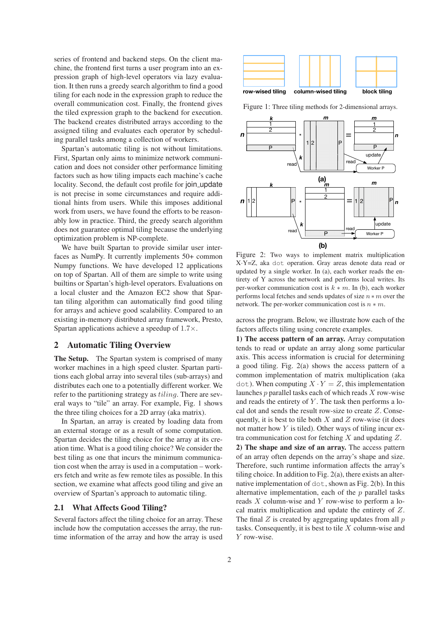series of frontend and backend steps. On the client machine, the frontend first turns a user program into an expression graph of high-level operators via lazy evaluation. It then runs a greedy search algorithm to find a good tiling for each node in the expression graph to reduce the overall communication cost. Finally, the frontend gives the tiled expression graph to the backend for execution. The backend creates distributed arrays according to the assigned tiling and evaluates each operator by scheduling parallel tasks among a collection of workers.

Spartan's automatic tiling is not without limitations. First, Spartan only aims to minimize network communication and does not consider other performance limiting factors such as how tiling impacts each machine's cache locality. Second, the default cost profile for join update is not precise in some circumstances and require additional hints from users. While this imposes additional work from users, we have found the efforts to be reasonably low in practice. Third, the greedy search algorithm does not guarantee optimal tiling because the underlying optimization problem is NP-complete.

We have built Spartan to provide similar user interfaces as NumPy. It currently implements 50+ common Numpy functions. We have developed 12 applications on top of Spartan. All of them are simple to write using builtins or Spartan's high-level operators. Evaluations on a local cluster and the Amazon EC2 show that Spartan tiling algorithm can automatically find good tiling for arrays and achieve good scalability. Compared to an existing in-memory distributed array framework, Presto, Spartan applications achieve a speedup of 1.7×.

## 2 Automatic Tiling Overview

The Setup. The Spartan system is comprised of many worker machines in a high speed cluster. Spartan partitions each global array into several tiles (sub-arrays) and distributes each one to a potentially different worker. We refer to the partitioning strategy as tiling. There are several ways to "tile" an array. For example, Fig. 1 shows the three tiling choices for a 2D array (aka matrix).

In Spartan, an array is created by loading data from an external storage or as a result of some computation. Spartan decides the tiling choice for the array at its creation time. What is a good tiling choice? We consider the best tiling as one that incurs the minimum communication cost when the array is used in a computation – workers fetch and write as few remote tiles as possible. In this section, we examine what affects good tiling and give an overview of Spartan's approach to automatic tiling.

#### 2.1 What Affects Good Tiling?

Several factors affect the tiling choice for an array. These include how the computation accesses the array, the runtime information of the array and how the array is used



Figure 1: Three tiling methods for 2-dimensional arrays.



Figure 2: Two ways to implement matrix multiplication X·Y=Z, aka dot operation. Gray areas denote data read or updated by a single worker. In (a), each worker reads the entirety of Y across the network and performs local writes. Its per-worker communication cost is  $k * m$ . In (b), each worker performs local fetches and sends updates of size  $n * m$  over the network. The per-worker communication cost is  $n * m$ .

across the program. Below, we illustrate how each of the factors affects tiling using concrete examples.

1) The access pattern of an array. Array computation tends to read or update an array along some particular axis. This access information is crucial for determining a good tiling. Fig. 2(a) shows the access pattern of a common implementation of matrix multiplication (aka dot). When computing  $X \cdot Y = Z$ , this implementation launches  $p$  parallel tasks each of which reads  $X$  row-wise and reads the entirety of  $Y$ . The task then performs a local dot and sends the result row-size to create Z. Consequently, it is best to tile both  $X$  and  $Z$  row-wise (it does not matter how  $Y$  is tiled). Other ways of tiling incur extra communication cost for fetching  $X$  and updating  $Z$ .

2) The shape and size of an array. The access pattern of an array often depends on the array's shape and size. Therefore, such runtime information affects the array's tiling choice. In addition to Fig. 2(a), there exists an alternative implementation of dot, shown as Fig. 2(b). In this alternative implementation, each of the  $p$  parallel tasks reads  $X$  column-wise and  $Y$  row-wise to perform a local matrix multiplication and update the entirety of Z. The final  $Z$  is created by aggregating updates from all  $p$ tasks. Consequently, it is best to tile  $X$  column-wise and Y row-wise.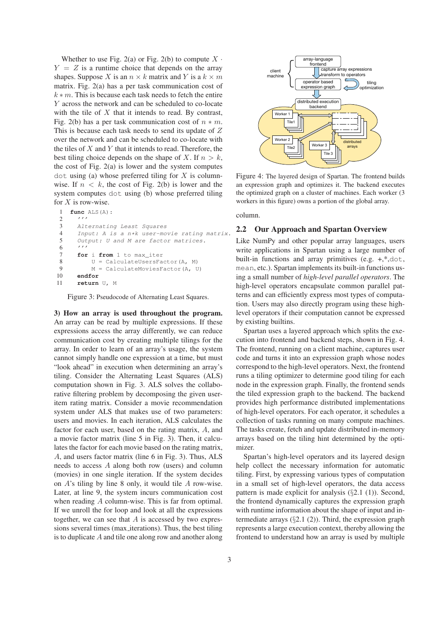Whether to use Fig. 2(a) or Fig. 2(b) to compute  $X \cdot$  $Y = Z$  is a runtime choice that depends on the array shapes. Suppose X is an  $n \times k$  matrix and Y is a  $k \times m$ matrix. Fig. 2(a) has a per task communication cost of  $k * m$ . This is because each task needs to fetch the entire Y across the network and can be scheduled to co-locate with the tile of  $X$  that it intends to read. By contrast, Fig. 2(b) has a per task communication cost of  $n * m$ . This is because each task needs to send its update of Z over the network and can be scheduled to co-locate with the tiles of  $X$  and  $Y$  that it intends to read. Therefore, the best tiling choice depends on the shape of X. If  $n > k$ , the cost of Fig. 2(a) is lower and the system computes  $dot$  using (a) whose preferred tiling for  $X$  is columnwise. If  $n < k$ , the cost of Fig. 2(b) is lower and the system computes dot using (b) whose preferred tiling for  $X$  is row-wise.

```
1 func ALS(A):
 2 '''
3 Alternating Least Squares
4 Input: A is a n*k user-movie rating matrix.
      5 Output: U and M are factor matrices.
6 '''
7 for i from 1 to max_iter<br>8 II = CalculateHearsFa
          U = CalculateUsersFactor(A, M)9 M = \text{CalculateMoviesFactor}(A, U)<br>10 endfor
      endfor
11 return U, M
```
Figure 3: Pseudocode of Alternating Least Squares.

3) How an array is used throughout the program. An array can be read by multiple expressions. If these expressions access the array differently, we can reduce communication cost by creating multiple tilings for the array. In order to learn of an array's usage, the system cannot simply handle one expression at a time, but must "look ahead" in execution when determining an array's tiling. Consider the Alternating Least Squares (ALS) computation shown in Fig. 3. ALS solves the collaborative filtering problem by decomposing the given useritem rating matrix. Consider a movie recommendation system under ALS that makes use of two parameters: users and movies. In each iteration, ALS calculates the factor for each user, based on the rating matrix, A, and a movie factor matrix (line 5 in Fig. 3). Then, it calculates the factor for each movie based on the rating matrix, A, and users factor matrix (line 6 in Fig. 3). Thus, ALS needs to access A along both row (users) and column (movies) in one single iteration. If the system decides on A's tiling by line 8 only, it would tile A row-wise. Later, at line 9, the system incurs communication cost when reading A column-wise. This is far from optimal. If we unroll the for loop and look at all the expressions together, we can see that  $A$  is accessed by two expressions several times (max iterations). Thus, the best tiling is to duplicate A and tile one along row and another along



Figure 4: The layered design of Spartan. The frontend builds an expression graph and optimizes it. The backend executes the optimized graph on a cluster of machines. Each worker (3 workers in this figure) owns a portion of the global array.

column.

#### 2.2 Our Approach and Spartan Overview

Like NumPy and other popular array languages, users write applications in Spartan using a large number of built-in functions and array primitives (e.g. +,\*,dot, mean, etc.). Spartan implements its built-in functions using a small number of *high-level parallel operators*. The high-level operators encapsulate common parallel patterns and can efficiently express most types of computation. Users may also directly program using these highlevel operators if their computation cannot be expressed by existing builtins.

Spartan uses a layered approach which splits the execution into frontend and backend steps, shown in Fig. 4. The frontend, running on a client machine, captures user code and turns it into an expression graph whose nodes correspond to the high-level operators. Next, the frontend runs a tiling optimizer to determine good tiling for each node in the expression graph. Finally, the frontend sends the tiled expression graph to the backend. The backend provides high performance distributed implementations of high-level operators. For each operator, it schedules a collection of tasks running on many compute machines. The tasks create, fetch and update distributed in-memory arrays based on the tiling hint determined by the optimizer.

Spartan's high-level operators and its layered design help collect the necessary information for automatic tiling. First, by expressing various types of computation in a small set of high-level operators, the data access pattern is made explicit for analysis (§2.1 (1)). Second, the frontend dynamically captures the expression graph with runtime information about the shape of input and intermediate arrays  $(\S2.1 \ (2))$ . Third, the expression graph represents a large execution context, thereby allowing the frontend to understand how an array is used by multiple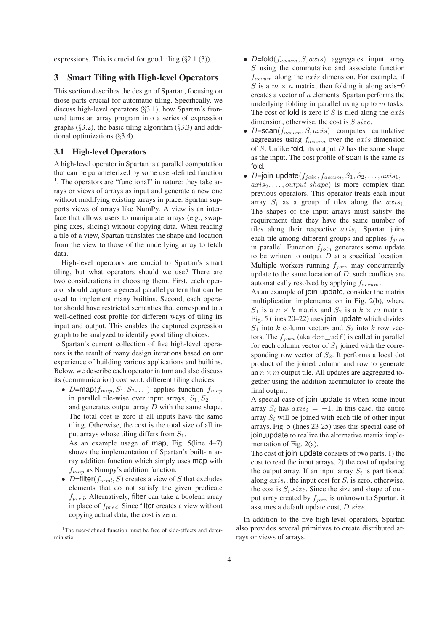expressions. This is crucial for good tiling  $(\S 2.1 \text{ } (3))$ .

# 3 Smart Tiling with High-level Operators

This section describes the design of Spartan, focusing on those parts crucial for automatic tiling. Specifically, we discuss high-level operators (§3.1), how Spartan's frontend turns an array program into a series of expression graphs  $(\S3.2)$ , the basic tiling algorithm  $(\S3.3)$  and additional optimizations (§3.4).

## 3.1 High-level Operators

A high-level operator in Spartan is a parallel computation that can be parameterized by some user-defined function <sup>1</sup>. The operators are "functional" in nature: they take arrays or views of arrays as input and generate a new one without modifying existing arrays in place. Spartan supports views of arrays like NumPy. A view is an interface that allows users to manipulate arrays (e.g., swapping axes, slicing) without copying data. When reading a tile of a view, Spartan translates the shape and location from the view to those of the underlying array to fetch data.

High-level operators are crucial to Spartan's smart tiling, but what operators should we use? There are two considerations in choosing them. First, each operator should capture a general parallel pattern that can be used to implement many builtins. Second, each operator should have restricted semantics that correspond to a well-defined cost profile for different ways of tiling its input and output. This enables the captured expression graph to be analyzed to identify good tiling choices.

Spartan's current collection of five high-level operators is the result of many design iterations based on our experience of building various applications and builtins. Below, we describe each operator in turn and also discuss its (communication) cost w.r.t. different tiling choices.

• D=map( $f_{map}, S_1, S_2, \ldots$ ) applies function  $f_{map}$ in parallel tile-wise over input arrays,  $S_1, S_2, \ldots$ , and generates output array  $D$  with the same shape. The total cost is zero if all inputs have the same tiling. Otherwise, the cost is the total size of all input arrays whose tiling differs from  $S_1$ .

As an example usage of map, Fig. 5(line 4–7) shows the implementation of Spartan's built-in array addition function which simply uses map with  $f_{map}$  as Numpy's addition function.

• D=filter( $f_{pred}$ , S) creates a view of S that excludes elements that do not satisfy the given predicate  $f_{pred}$ . Alternatively, filter can take a boolean array in place of  $f_{pred}$ . Since filter creates a view without copying actual data, the cost is zero.

- D=fold( $f_{accum}$ ,  $S, axis$ ) aggregates input array S using the commutative and associate function  $f_{accum}$  along the  $axis$  dimension. For example, if S is a  $m \times n$  matrix, then folding it along axis=0 creates a vector of  $n$  elements. Spartan performs the underlying folding in parallel using up to  $m$  tasks. The cost of fold is zero if  $S$  is tiled along the  $axis$ dimension, otherwise, the cost is  $S.size$ .
- $D = \text{scan}(f_{accum}, S, axis)$  computes cumulative aggregates using  $f_{accum}$  over the  $axis$  dimension of S. Unlike fold, its output  $D$  has the same shape as the input. The cost profile of scan is the same as fold.
- D=join\_update $(f_{join}, f_{accum}, S_1, S_2, \ldots, axis_1,$  $axis_2, \ldots, output\_shape)$  is more complex than previous operators. This operator treats each input array  $S_i$  as a group of tiles along the  $axis_i$ , The shapes of the input arrays must satisfy the requirement that they have the same number of tiles along their respective  $axis_i$ . Spartan joins each tile among different groups and applies  $f_{ioin}$ in parallel. Function  $f_{join}$  generates some update to be written to output  $D$  at a specified location. Multiple workers running  $f_{join}$  may concurrently update to the same location of  $D$ ; such conflicts are automatically resolved by applying  $f_{accum.}$

As an example of join update, consider the matrix multiplication implementation in Fig. 2(b), where  $S_1$  is a  $n \times k$  matrix and  $S_2$  is a  $k \times m$  matrix. Fig. 5 (lines 20–22) uses join update which divides  $S_1$  into k column vectors and  $S_2$  into k row vectors. The  $f_{join}$  (aka dot\_udf) is called in parallel for each column vector of  $S_1$  joined with the corresponding row vector of  $S_2$ . It performs a local dot product of the joined column and row to generate an  $n \times m$  output tile. All updates are aggregated together using the addition accumulator to create the final output.

A special case of join update is when some input array  $S_i$  has  $axis_i = -1$ . In this case, the entire array  $S_i$  will be joined with each tile of other input arrays. Fig. 5 (lines 23-25) uses this special case of join update to realize the alternative matrix implementation of Fig. 2(a).

The cost of join update consists of two parts, 1) the cost to read the input arrays. 2) the cost of updating the output array. If an input array  $S_i$  is partitioned along  $axis_i$ , the input cost for  $S_i$  is zero, otherwise, the cost is  $S_i.size$ . Since the size and shape of output array created by  $f_{ioin}$  is unknown to Spartan, it assumes a default update cost, D.size.

In addition to the five high-level operators, Spartan also provides several primitives to create distributed arrays or views of arrays.

<sup>&</sup>lt;sup>1</sup>The user-defined function must be free of side-effects and deterministic.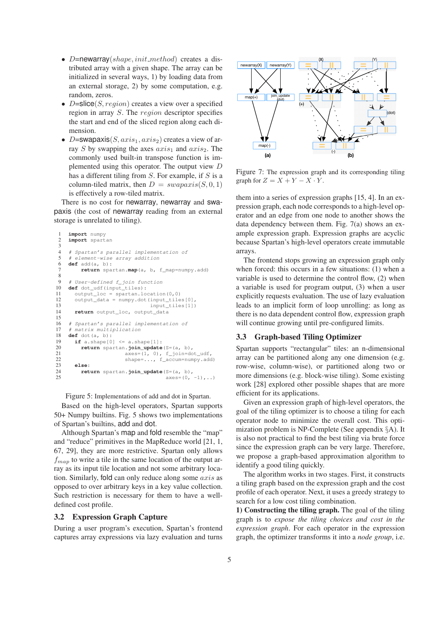- D=newarray(shape, init\_method) creates a distributed array with a given shape. The array can be initialized in several ways, 1) by loading data from an external storage, 2) by some computation, e.g. random, zeros.
- D=slice(S, region) creates a view over a specified region in array S. The region descriptor specifies the start and end of the sliced region along each dimension.
- D=swapaxis $(S, axis_1, axis_2)$  creates a view of array S by swapping the axes  $axis_1$  and  $axis_2$ . The commonly used built-in transpose function is implemented using this operator. The output view D has a different tiling from  $S$ . For example, if  $S$  is a column-tiled matrix, then  $D = swapaxis(S, 0, 1)$ is effectively a row-tiled matrix.

There is no cost for newarray, newarray and swapaxis (the cost of newarray reading from an external storage is unrelated to tiling).

```
1 import numpy
     import spartan
 \frac{3}{4}4 # Spartan's parallel implementation of
        \epsilonlement-wise array addition
 6 def add(a, b):
           7 return spartan.map(a, b, f_map=numpy.add)
 8
9 # User-defined f_join function
10 def dot_udf(input_tiles):<br>11 output loc = spartan.lo
11 output_loc = spartan.location(0,0)<br>12 output_data = numpy.dot(input_tile
12 output_data = numpy.dot(input_tiles[0],<br>13 input tiles[1])
                                         input tiles[1])
14 return output loc, output data
\frac{15}{16}16 # Spartan's parallel implementation of
        matrix multiplied18 def dot(a, b):<br>19 if a shape[0]
19 if a.shape[0] <= a.shape[1]:<br>20 return spartan.join update
20 return spartan.join_update(S=(a, b),<br>21 axes=(1, 0), f_join=do
21 axes=(1, 0), f_join=dot_udf,
22 shape=..., f_accum=numpy.add)
21<br>
22<br>
23 else:<br>
24 ret<br>
25
           24 return spartan.join_update(S=(a, b),
                                                axes=(0, -1), ...)
```
Figure 5: Implementations of add and dot in Spartan.

Based on the high-level operators, Spartan supports 50+ Numpy builtins. Fig. 5 shows two implementations of Spartan's builtins, add and dot.

Although Spartan's map and fold resemble the "map" and "reduce" primitives in the MapReduce world [21, 1, 67, 29], they are more restrictive. Spartan only allows  $f_{map}$  to write a tile in the same location of the output array as its input tile location and not some arbitrary location. Similarly, fold can only reduce along some axis as opposed to over arbitrary keys in a key value collection. Such restriction is necessary for them to have a welldefined cost profile.

#### 3.2 Expression Graph Capture

During a user program's execution, Spartan's frontend captures array expressions via lazy evaluation and turns



Figure 7: The expression graph and its corresponding tiling graph for  $Z = X + Y - X \cdot Y$ .

them into a series of expression graphs [15, 4]. In an expression graph, each node corresponds to a high-level operator and an edge from one node to another shows the data dependency between them. Fig. 7(a) shows an example expression graph. Expression graphs are acyclic because Spartan's high-level operators create immutable arrays.

The frontend stops growing an expression graph only when forced: this occurs in a few situations: (1) when a variable is used to determine the control flow, (2) when a variable is used for program output, (3) when a user explicitly requests evaluation. The use of lazy evaluation leads to an implicit form of loop unrolling: as long as there is no data dependent control flow, expression graph will continue growing until pre-configured limits.

## 3.3 Graph-based Tiling Optimizer

Spartan supports "rectangular" tiles: an n-dimensional array can be partitioned along any one dimension (e.g. row-wise, column-wise), or partitioned along two or more dimensions (e.g. block-wise tiling). Some existing work [28] explored other possible shapes that are more efficient for its applications.

Given an expression graph of high-level operators, the goal of the tiling optimizer is to choose a tiling for each operator node to minimize the overall cost. This optimization problem is NP-Complete (See appendix §A). It is also not practical to find the best tiling via brute force since the expression graph can be very large. Therefore, we propose a graph-based approximation algorithm to identify a good tiling quickly.

The algorithm works in two stages. First, it constructs a tiling graph based on the expression graph and the cost profile of each operator. Next, it uses a greedy strategy to search for a low cost tiling combination.

1) Constructing the tiling graph. The goal of the tiling graph is to *expose the tiling choices and cost in the expression graph*. For each operator in the expression graph, the optimizer transforms it into a *node group*, i.e.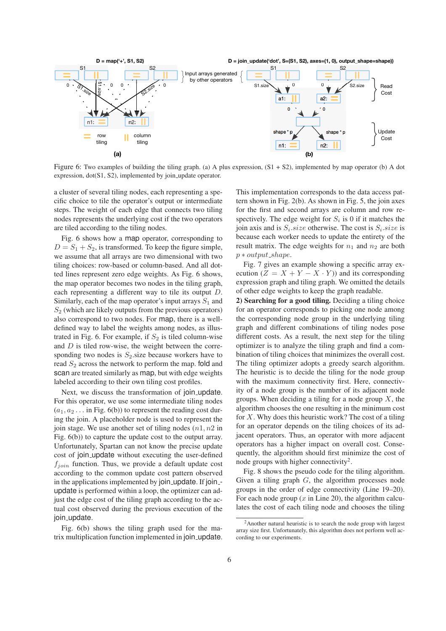

Figure 6: Two examples of building the tiling graph. (a) A plus expression,  $(S1 + S2)$ , implemented by map operator (b) A dot expression, dot(S1, S2), implemented by join update operator.

a cluster of several tiling nodes, each representing a specific choice to tile the operator's output or intermediate steps. The weight of each edge that connects two tiling nodes represents the underlying cost if the two operators are tiled according to the tiling nodes.

Fig. 6 shows how a map operator, corresponding to  $D = S_1 + S_2$ , is transformed. To keep the figure simple, we assume that all arrays are two dimensional with two tiling choices: row-based or column-based. And all dotted lines represent zero edge weights. As Fig. 6 shows, the map operator becomes two nodes in the tiling graph, each representing a different way to tile its output D. Similarly, each of the map operator's input arrays  $S_1$  and  $S<sub>2</sub>$  (which are likely outputs from the previous operators) also correspond to two nodes. For map, there is a welldefined way to label the weights among nodes, as illustrated in Fig. 6. For example, if  $S_2$  is tiled column-wise and  $D$  is tiled row-wise, the weight between the corresponding two nodes is  $S_2$  size because workers have to read  $S_2$  across the network to perform the map. fold and scan are treated similarly as map, but with edge weights labeled according to their own tiling cost profiles.

Next, we discuss the transformation of join update. For this operator, we use some intermediate tiling nodes  $(a_1, a_2, \ldots)$  in Fig. 6(b)) to represent the reading cost during the join. A placeholder node is used to represent the join stage. We use another set of tiling nodes  $(n1, n2)$  in Fig. 6(b)) to capture the update cost to the output array. Unfortunately, Spartan can not know the precise update cost of join update without executing the user-defined  $f_{ioin}$  function. Thus, we provide a default update cost according to the common update cost pattern observed in the applications implemented by join update. If join -update is performed within a loop, the optimizer can adjust the edge cost of the tiling graph according to the actual cost observed during the previous execution of the join\_update.

Fig. 6(b) shows the tiling graph used for the matrix multiplication function implemented in join update. This implementation corresponds to the data access pattern shown in Fig. 2(b). As shown in Fig. 5, the join axes for the first and second arrays are column and row respectively. The edge weight for  $S_i$  is 0 if it matches the join axis and is  $S_i.size$  otherwise. The cost is  $S_i.size$  is because each worker needs to update the entirety of the result matrix. The edge weights for  $n_1$  and  $n_2$  are both  $p * output.shape.$ 

Fig. 7 gives an example showing a specific array execution  $(Z = X + Y - X \cdot Y)$  and its corresponding expression graph and tiling graph. We omitted the details of other edge weights to keep the graph readable.

2) Searching for a good tiling. Deciding a tiling choice for an operator corresponds to picking one node among the corresponding node group in the underlying tiling graph and different combinations of tiling nodes pose different costs. As a result, the next step for the tiling optimizer is to analyze the tiling graph and find a combination of tiling choices that minimizes the overall cost. The tiling optimizer adopts a greedy search algorithm. The heuristic is to decide the tiling for the node group with the maximum connectivity first. Here, connectivity of a node group is the number of its adjacent node groups. When deciding a tiling for a node group  $X$ , the algorithm chooses the one resulting in the minimum cost for  $X$ . Why does this heuristic work? The cost of a tiling for an operator depends on the tiling choices of its adjacent operators. Thus, an operator with more adjacent operators has a higher impact on overall cost. Consequently, the algorithm should first minimize the cost of node groups with higher connectivity<sup>2</sup>.

Fig. 8 shows the pseudo code for the tiling algorithm. Given a tiling graph  $G$ , the algorithm processes node groups in the order of edge connectivity (Line 19–20). For each node group  $(x \text{ in Line } 20)$ , the algorithm calculates the cost of each tiling node and chooses the tiling

<sup>2</sup>Another natural heuristic is to search the node group with largest array size first. Unfortunately, this algorithm does not perform well according to our experiments.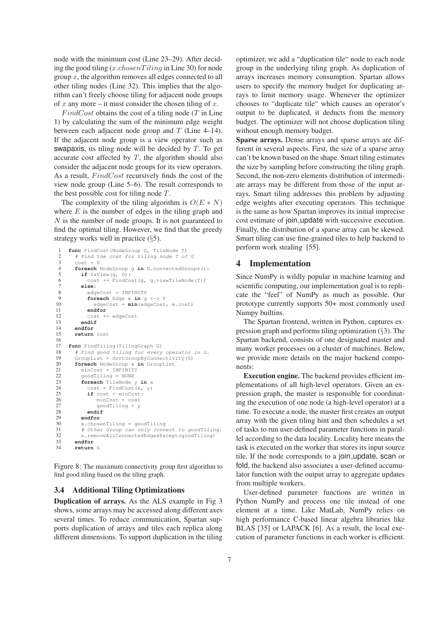node with the minimum cost (Line 23–29). After deciding the good tiling  $(x.\text{chosen} T \text{iling}$  in Line 30) for node group  $x$ , the algorithm removes all edges connected to all other tiling nodes (Line 32). This implies that the algorithm can't freely choose tiling for adjacent node groups of x any more – it must consider the chosen tiling of x.

 $FindCost$  obtains the cost of a tiling node (T in Line 1) by calculating the sum of the minimum edge weight between each adjacent node group and  $T$  (Line 4–14). If the adjacent node group is a view operator such as swapaxis, its tiling node will be decided by  $T$ . To get accurate cost affected by  $T$ , the algorithm should also consider the adjacent node groups for its view operators. As a result,  $FindCost$  recursively finds the cost of the view node group (Line 5–6). The result corresponds to the best possible cost for tiling node T.

The complexity of the tiling algorithm is  $O(E*N)$ where  $E$  is the number of edges in the tiling graph and N is the number of node groups. It is not guaranteed to find the optimal tiling. However, we find that the greedy strategy works well in practice (§5).

```
1 func FindCost(NodeGroup G, TileNode T)<br>2 # Find the cost for tiling node T of
 2 # Find the cost for tiling node T of G
 3 \qquad \cosh = 0<br>4 foreach
 foreach NodeGroup g in G.connectedGroups():<br>
if IsView(a, G):
           5 if IsView(g, G):
 6 cost += FindCost(q, q.viewTileNode(T))
 7 else:
 8 edgeCost = INFINITY<br>9 foreach Edge e in \alpha9 foreach Edge e in g <-> T<br>10 edgeCost = min (edgeCost
10 edgeCost = min(edgeCost, e.cost)<br>11 andfor11 endfor
12 cost += edgeCost<br>13 endif
13 endif
14 endfor
        15 return cost
16
17 func FindTiling(TilingGraph G)
18 # Find good tiling for every operator in G.
19 GroupList = SortGroupByConnectivity(G)
20 foreach NodeGroup x in GroupList
21 minCost = INFINITY<br>22 goodTiling = NONE<br>23 foreach TileNode y
           22 goodTiling = NONE
23 foreach TileNode y in x<br>24 cost = FindCost (x, y)<br>25 if cost < minCost:
              cost = FindCost(x, y)25 if cost < minCost:<br>26 implement minCost = cost
26 minCost = cost<br>27 goodTiling = y
27 goodTiling = y<br>28 endif
28 endif<br>29 endfor<br>30 x.choser
           endfor
30 x \cdot \text{chosenTiling} = \text{goodTiling}<br>31 \# Other Group can only conn
           31 # Other Group can only connect to goodTiling.
32 x.removeAllConnectedEdgesExcept(goodTiling)<br>33 endfor
33 endfor
        34 return G
```
Figure 8: The maximum connectivity group first algorithm to find good tiling based on the tiling graph.

#### 3.4 Additional Tiling Optimizations

Duplication of arrays. As the ALS example in Fig 3 shows, some arrays may be accessed along different axes several times. To reduce communication, Spartan supports duplication of arrays and tiles each replica along different dimensions. To support duplication in the tiling

optimizer, we add a "duplication tile" node to each node group in the underlying tiling graph. As duplication of arrays increases memory consumption. Spartan allows users to specify the memory budget for duplicating arrays to limit memory usage. Whenever the optimizer chooses to "duplicate tile" which causes an operator's output to be duplicated, it deducts from the memory budget. The optimizer will not choose duplication tiling without enough memory budget.

Sparse arrays. Dense arrays and sparse arrays are different in several aspects. First, the size of a sparse array can't be known based on the shape. Smart tiling estimates the size by sampling before constructing the tiling graph. Second, the non-zero elements distribution of intermediate arrays may be different from those of the input arrays. Smart tiling addresses this problem by adjusting edge weights after executing operators. This technique is the same as how Spartan improves its initial imprecise cost estimate of join update with successive execution. Finally, the distribution of a sparse array can be skewed. Smart tiling can use fine-grained tiles to help backend to perform work stealing [55].

## 4 Implementation

Since NumPy is wildly popular in machine learning and scientific computing, our implementation goal is to replicate the "feel" of NumPy as much as possible. Our prototype currently supports 50+ most commonly used Numpy builtins.

The Spartan frontend, written in Python, captures expression graph and performs tiling optimization (§3). The Spartan backend, consists of one designated master and many worker processes on a cluster of machines. Below, we provide more details on the major backend components:

Execution engine. The backend provides efficient implementations of all high-level operators. Given an expression graph, the master is responsible for coordinating the execution of one node (a high-level operator) at a time. To execute a node, the master first creates an output array with the given tiling hint and then schedules a set of tasks to run user-defined parameter functions in parallel according to the data locality. Locality here means the task is executed on the worker that stores its input source tile. If the node corresponds to a join update, scan or fold, the backend also associates a user-defined accumulator function with the output array to aggregate updates from multiple workers.

User-defined parameter functions are written in Python NumPy and process one tile instead of one element at a time. Like MatLab, NumPy relies on high performance C-based linear algebra libraries like BLAS [35] or LAPACK [6]. As a result, the local execution of parameter functions in each worker is efficient.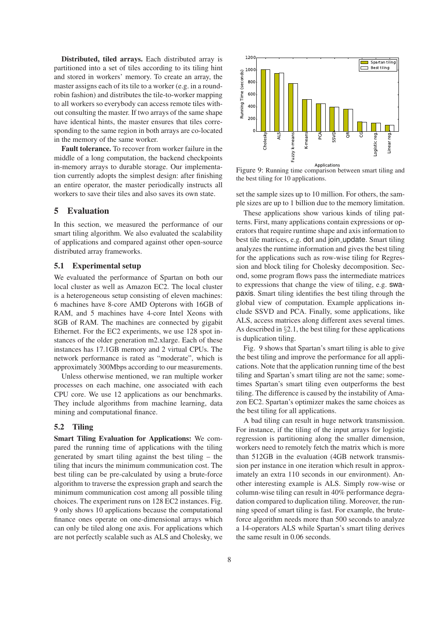Distributed, tiled arrays. Each distributed array is partitioned into a set of tiles according to its tiling hint and stored in workers' memory. To create an array, the master assigns each of its tile to a worker (e.g. in a roundrobin fashion) and distributes the tile-to-worker mapping to all workers so everybody can access remote tiles without consulting the master. If two arrays of the same shape have identical hints, the master ensures that tiles corresponding to the same region in both arrays are co-located in the memory of the same worker.

Fault tolerance. To recover from worker failure in the middle of a long computation, the backend checkpoints in-memory arrays to durable storage. Our implementation currently adopts the simplest design: after finishing an entire operator, the master periodically instructs all workers to save their tiles and also saves its own state.

# 5 Evaluation

In this section, we measured the performance of our smart tiling algorithm. We also evaluated the scalability of applications and compared against other open-source distributed array frameworks.

## 5.1 Experimental setup

We evaluated the performance of Spartan on both our local cluster as well as Amazon EC2. The local cluster is a heterogeneous setup consisting of eleven machines: 6 machines have 8-core AMD Opterons with 16GB of RAM, and 5 machines have 4-core Intel Xeons with 8GB of RAM. The machines are connected by gigabit Ethernet. For the EC2 experiments, we use 128 spot instances of the older generation m2.xlarge. Each of these instances has 17.1GB memory and 2 virtual CPUs. The network performance is rated as "moderate", which is approximately 300Mbps according to our measurements.

Unless otherwise mentioned, we ran multiple worker processes on each machine, one associated with each CPU core. We use 12 applications as our benchmarks. They include algorithms from machine learning, data mining and computational finance.

#### 5.2 Tiling

Smart Tiling Evaluation for Applications: We compared the running time of applications with the tiling generated by smart tiling against the best tiling – the tiling that incurs the minimum communication cost. The best tiling can be pre-calculated by using a brute-force algorithm to traverse the expression graph and search the minimum communication cost among all possible tiling choices. The experiment runs on 128 EC2 instances. Fig. 9 only shows 10 applications because the computational finance ones operate on one-dimensional arrays which can only be tiled along one axis. For applications which are not perfectly scalable such as ALS and Cholesky, we



Applications<br>Figure 9: Running time comparison between smart tiling and the best tiling for 10 applications.

set the sample sizes up to 10 million. For others, the sample sizes are up to 1 billion due to the memory limitation.

These applications show various kinds of tiling patterns. First, many applications contain expressions or operators that require runtime shape and axis information to best tile matrices, e.g. dot and join update. Smart tiling analyzes the runtime information and gives the best tiling for the applications such as row-wise tiling for Regression and block tiling for Cholesky decomposition. Second, some program flows pass the intermediate matrices to expressions that change the view of tiling, e.g. swapaxis. Smart tiling identifies the best tiling through the global view of computation. Example applications include SSVD and PCA. Finally, some applications, like ALS, access matrices along different axes several times. As described in §2.1, the best tiling for these applications is duplication tiling.

Fig. 9 shows that Spartan's smart tiling is able to give the best tiling and improve the performance for all applications. Note that the application running time of the best tiling and Spartan's smart tiling are not the same; sometimes Spartan's smart tiling even outperforms the best tiling. The difference is caused by the instability of Amazon EC2. Spartan's optimizer makes the same choices as the best tiling for all applications.

A bad tiling can result in huge network transmission. For instance, if the tiling of the input arrays for logistic regression is partitioning along the smaller dimension, workers need to remotely fetch the matrix which is more than 512GB in the evaluation (4GB network transmission per instance in one iteration which result in approximately an extra 110 seconds in our environment). Another interesting example is ALS. Simply row-wise or column-wise tiling can result in 40% performance degradation compared to duplication tiling. Moreover, the running speed of smart tiling is fast. For example, the bruteforce algorithm needs more than 500 seconds to analyze a 14-operators ALS while Spartan's smart tiling derives the same result in 0.06 seconds.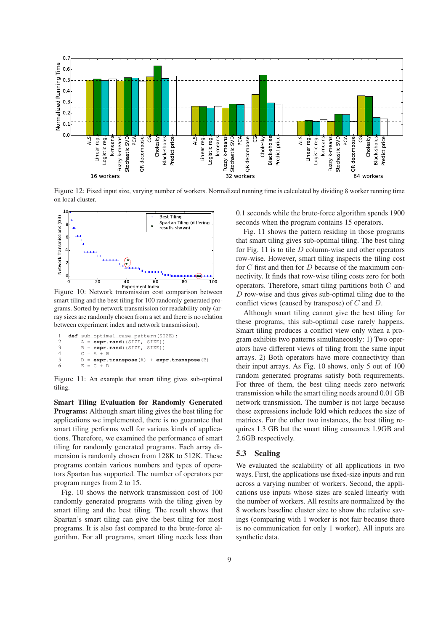

Figure 12: Fixed input size, varying number of workers. Normalized running time is calculated by dividing 8 worker running time on local cluster.



Figure 10: Network transmission cost comparison between smart tiling and the best tiling for 100 randomly generated programs. Sorted by network transmission for readability only (array sizes are randomly chosen from a set and there is no relation between experiment index and network transmission).

```
1 def sub_optimal_case_pattern(SIZE):
A = expr.random((SIZE, SIZE))<br>
B = expr.random((SIZE, SIZE))3 B = expr.rand((SIZE, SIZE))
4 C = A + B<br>5 D = expr.
5 D = \text{expr}.\text{transpose} (A) + \text{expr}.\text{transpose} (B)<br>6 E = C + D= C + D
```
Figure 11: An example that smart tiling gives sub-optimal tiling.

Smart Tiling Evaluation for Randomly Generated Programs: Although smart tiling gives the best tiling for applications we implemented, there is no guarantee that smart tiling performs well for various kinds of applications. Therefore, we examined the performance of smart tiling for randomly generated programs. Each array dimension is randomly chosen from 128K to 512K. These programs contain various numbers and types of operators Spartan has supported. The number of operators per program ranges from 2 to 15.

Fig. 10 shows the network transmission cost of 100 randomly generated programs with the tiling given by smart tiling and the best tiling. The result shows that Spartan's smart tiling can give the best tiling for most programs. It is also fast compared to the brute-force algorithm. For all programs, smart tiling needs less than 0.1 seconds while the brute-force algorithm spends 1900 seconds when the program contains 15 operators.

Fig. 11 shows the pattern residing in those programs that smart tiling gives sub-optimal tiling. The best tiling for Fig. 11 is to tile  $D$  column-wise and other operators row-wise. However, smart tiling inspects the tiling cost for  $C$  first and then for  $D$  because of the maximum connectivity. It finds that row-wise tiling costs zero for both operators. Therefore, smart tiling partitions both  $C$  and  $D$  row-wise and thus gives sub-optimal tiling due to the conflict views (caused by transpose) of C and D.

Although smart tiling cannot give the best tiling for these programs, this sub-optimal case rarely happens. Smart tiling produces a conflict view only when a program exhibits two patterns simultaneously: 1) Two operators have different views of tiling from the same input arrays. 2) Both operators have more connectivity than their input arrays. As Fig. 10 shows, only 5 out of 100 random generated programs satisfy both requirements. For three of them, the best tiling needs zero network transmission while the smart tiling needs around 0.01 GB network transmission. The number is not large because these expressions include fold which reduces the size of matrices. For the other two instances, the best tiling requires 1.3 GB but the smart tiling consumes 1.9GB and 2.6GB respectively.

#### 5.3 Scaling

We evaluated the scalability of all applications in two ways. First, the applications use fixed-size inputs and run across a varying number of workers. Second, the applications use inputs whose sizes are scaled linearly with the number of workers. All results are normalized by the 8 workers baseline cluster size to show the relative savings (comparing with 1 worker is not fair because there is no communication for only 1 worker). All inputs are synthetic data.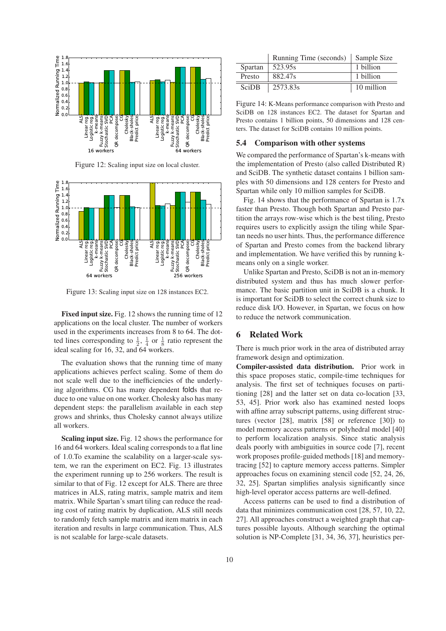

Figure 12: Scaling input size on local cluster.



Figure 13: Scaling input size on 128 instances EC2.

Fixed input size. Fig. 12 shows the running time of 12 applications on the local cluster. The number of workers used in the experiments increases from 8 to 64. The dotted lines corresponding to  $\frac{1}{2}$ ,  $\frac{1}{4}$  or  $\frac{1}{8}$  ratio represent the ideal scaling for 16, 32, and 64 workers.

The evaluation shows that the running time of many applications achieves perfect scaling. Some of them do not scale well due to the inefficiencies of the underlying algorithms. CG has many dependent folds that reduce to one value on one worker. Cholesky also has many dependent steps: the parallelism available in each step grows and shrinks, thus Cholesky cannot always utilize all workers.

Scaling input size. Fig. 12 shows the performance for 16 and 64 workers. Ideal scaling corresponds to a flat line of 1.0.To examine the scalability on a larger-scale system, we ran the experiment on EC2. Fig. 13 illustrates the experiment running up to 256 workers. The result is similar to that of Fig. 12 except for ALS. There are three matrices in ALS, rating matrix, sample matrix and item matrix. While Spartan's smart tiling can reduce the reading cost of rating matrix by duplication, ALS still needs to randomly fetch sample matrix and item matrix in each iteration and results in large communication. Thus, ALS is not scalable for large-scale datasets.

|              | Running Time (seconds) | Sample Size |
|--------------|------------------------|-------------|
| Spartan      | 523.95s                | 1 billion   |
| Presto       | 882.47s                | 1 billion   |
| <b>SciDB</b> | 2573.83s               | 10 million  |

Figure 14: K-Means performance comparison with Presto and SciDB on 128 instances EC2. The dataset for Spartan and Presto contains 1 billion points, 50 dimensions and 128 centers. The dataset for SciDB contains 10 million points.

### 5.4 Comparison with other systems

We compared the performance of Spartan's k-means with the implementation of Presto (also called Distributed R) and SciDB. The synthetic dataset contains 1 billion samples with 50 dimensions and 128 centers for Presto and Spartan while only 10 million samples for SciDB.

Fig. 14 shows that the performance of Spartan is 1.7x faster than Presto. Though both Spartan and Presto partition the arrays row-wise which is the best tiling, Presto requires users to explicitly assign the tiling while Spartan needs no user hints. Thus, the performance difference of Spartan and Presto comes from the backend library and implementation. We have verified this by running kmeans only on a single worker.

Unlike Spartan and Presto, SciDB is not an in-memory distributed system and thus has much slower performance. The basic partition unit in SciDB is a chunk. It is important for SciDB to select the correct chunk size to reduce disk I/O. However, in Spartan, we focus on how to reduce the network communication.

# 6 Related Work

There is much prior work in the area of distributed array framework design and optimization.

Compiler-assisted data distribution. Prior work in this space proposes static, compile-time techniques for analysis. The first set of techniques focuses on partitioning [28] and the latter set on data co-location [33, 53, 45]. Prior work also has examined nested loops with affine array subscript patterns, using different structures (vector [28], matrix [58] or reference [30]) to model memory access patterns or polyhedral model [40] to perform localization analysis. Since static analysis deals poorly with ambiguities in source code [7], recent work proposes profile-guided methods [18] and memorytracing [52] to capture memory access patterns. Simpler approaches focus on examining stencil code [52, 24, 26, 32, 25]. Spartan simplifies analysis significantly since high-level operator access patterns are well-defined.

Access patterns can be used to find a distribution of data that minimizes communication cost [28, 57, 10, 22, 27]. All approaches construct a weighted graph that captures possible layouts. Although searching the optimal solution is NP-Complete [31, 34, 36, 37], heuristics per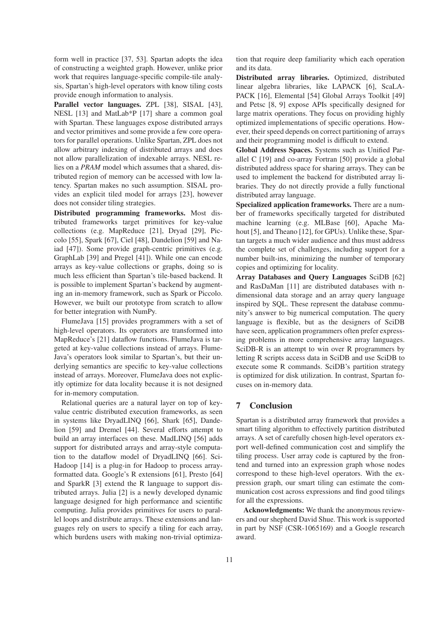form well in practice [37, 53]. Spartan adopts the idea of constructing a weighted graph. However, unlike prior work that requires language-specific compile-tile analysis, Spartan's high-level operators with know tiling costs provide enough information to analysis.

Parallel vector languages. ZPL [38], SISAL [43], NESL [13] and MatLab\*P [17] share a common goal with Spartan. These languages expose distributed arrays and vector primitives and some provide a few core operators for parallel operations. Unlike Spartan, ZPL does not allow arbitrary indexing of distributed arrays and does not allow parallelization of indexable arrays. NESL relies on a *PRAM* model which assumes that a shared, distributed region of memory can be accessed with low latency. Spartan makes no such assumption. SISAL provides an explicit tiled model for arrays [23], however does not consider tiling strategies.

Distributed programming frameworks. Most distributed frameworks target primitives for key-value collections (e.g. MapReduce [21], Dryad [29], Piccolo [55], Spark [67], Ciel [48], Dandelion [59] and Naiad [47]). Some provide graph-centric primitives (e.g. GraphLab [39] and Pregel [41]). While one can encode arrays as key-value collections or graphs, doing so is much less efficient than Spartan's tile-based backend. It is possible to implement Spartan's backend by augmenting an in-memory framework, such as Spark or Piccolo. However, we built our prototype from scratch to allow for better integration with NumPy.

FlumeJava [15] provides programmers with a set of high-level operators. Its operators are transformed into MapReduce's [21] dataflow functions. FlumeJava is targeted at key-value collections instead of arrays. Flume-Java's operators look similar to Spartan's, but their underlying semantics are specific to key-value collections instead of arrays. Moreover, FlumeJava does not explicitly optimize for data locality because it is not designed for in-memory computation.

Relational queries are a natural layer on top of keyvalue centric distributed execution frameworks, as seen in systems like DryadLINQ [66], Shark [65], Dandelion [59] and Dremel [44]. Several efforts attempt to build an array interfaces on these. MadLINQ [56] adds support for distributed arrays and array-style computation to the dataflow model of DryadLINQ [66]. Sci-Hadoop [14] is a plug-in for Hadoop to process arrayformatted data. Google's R extensions [61], Presto [64] and SparkR [3] extend the R language to support distributed arrays. Julia [2] is a newly developed dynamic language designed for high performance and scientific computing. Julia provides primitives for users to parallel loops and distribute arrays. These extensions and languages rely on users to specify a tiling for each array, which burdens users with making non-trivial optimization that require deep familiarity which each operation and its data.

Distributed array libraries. Optimized, distributed linear algebra libraries, like LAPACK [6], ScaLA-PACK [16], Elemental [54] Global Arrays Toolkit [49] and Petsc [8, 9] expose APIs specifically designed for large matrix operations. They focus on providing highly optimized implementations of specific operations. However, their speed depends on correct partitioning of arrays and their programming model is difficult to extend.

Global Address Spaces. Systems such as Unified Parallel C [19] and co-array Fortran [50] provide a global distributed address space for sharing arrays. They can be used to implement the backend for distributed array libraries. They do not directly provide a fully functional distributed array language.

Specialized application frameworks. There are a number of frameworks specifically targeted for distributed machine learning (e.g. MLBase [60], Apache Mahout [5], and Theano [12], for GPUs). Unlike these, Spartan targets a much wider audience and thus must address the complete set of challenges, including support for a number built-ins, minimizing the number of temporary copies and optimizing for locality.

Array Databases and Query Languages SciDB [62] and RasDaMan [11] are distributed databases with ndimensional data storage and an array query language inspired by SQL. These represent the database community's answer to big numerical computation. The query language is flexible, but as the designers of SciDB have seen, application programmers often prefer expressing problems in more comprehensive array languages. SciDB-R is an attempt to win over R programmers by letting R scripts access data in SciDB and use SciDB to execute some R commands. SciDB's partition strategy is optimized for disk utilization. In contrast, Spartan focuses on in-memory data.

## 7 Conclusion

Spartan is a distributed array framework that provides a smart tiling algorithm to effectively partition distributed arrays. A set of carefully chosen high-level operators export well-defined communication cost and simplify the tiling process. User array code is captured by the frontend and turned into an expression graph whose nodes correspond to these high-level operators. With the expression graph, our smart tiling can estimate the communication cost across expressions and find good tilings for all the expressions.

Acknowledgments: We thank the anonymous reviewers and our shepherd David Shue. This work is supported in part by NSF (CSR-1065169) and a Google research award.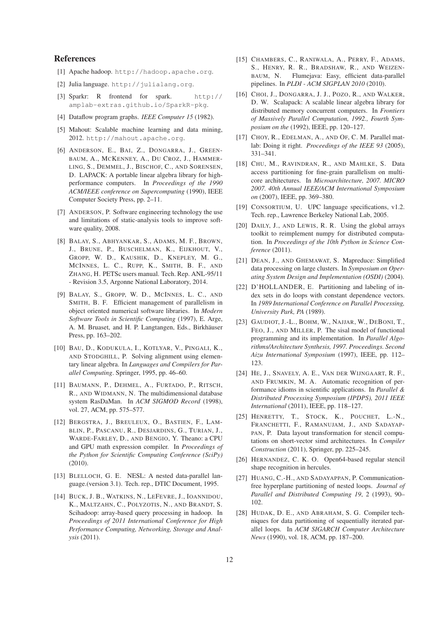# References

- [1] Apache hadoop. http://hadoop.apache.org.
- [2] Julia language. http://julialang.org.
- [3] Sparkr: R frontend for spark. http:// amplab-extras.github.io/SparkR-pkg.
- [4] Dataflow program graphs. *IEEE Computer 15* (1982).
- [5] Mahout: Scalable machine learning and data mining, 2012. http://mahout.apache.org.
- [6] ANDERSON, E., BAI, Z., DONGARRA, J., GREEN-BAUM, A., MCKENNEY, A., DU CROZ, J., HAMMER-LING, S., DEMMEL, J., BISCHOF, C., AND SORENSEN, D. LAPACK: A portable linear algebra library for highperformance computers. In *Proceedings of the 1990 ACM/IEEE conference on Supercomputing* (1990), IEEE Computer Society Press, pp. 2–11.
- [7] ANDERSON, P. Software engineering technology the use and limitations of static-analysis tools to improve software quality, 2008.
- [8] BALAY, S., ABHYANKAR, S., ADAMS, M. F., BROWN, J., BRUNE, P., BUSCHELMAN, K., EIJKHOUT, V., GROPP, W. D., KAUSHIK, D., KNEPLEY, M. G., MCINNES, L. C., RUPP, K., SMITH, B. F., AND ZHANG, H. PETSc users manual. Tech. Rep. ANL-95/11 - Revision 3.5, Argonne National Laboratory, 2014.
- [9] BALAY, S., GROPP, W. D., MCINNES, L. C., AND SMITH, B. F. Efficient management of parallelism in object oriented numerical software libraries. In *Modern Software Tools in Scientific Computing* (1997), E. Arge, A. M. Bruaset, and H. P. Langtangen, Eds., Birkhäuser Press, pp. 163–202.
- [10] BAU, D., KODUKULA, I., KOTLYAR, V., PINGALI, K., AND STODGHILL, P. Solving alignment using elementary linear algebra. In *Languages and Compilers for Parallel Computing*. Springer, 1995, pp. 46–60.
- [11] BAUMANN, P., DEHMEL, A., FURTADO, P., RITSCH, R., AND WIDMANN, N. The multidimensional database system RasDaMan. In *ACM SIGMOD Record* (1998), vol. 27, ACM, pp. 575–577.
- [12] BERGSTRA, J., BREULEUX, O., BASTIEN, F., LAM-BLIN, P., PASCANU, R., DESJARDINS, G., TURIAN, J., WARDE-FARLEY, D., AND BENGIO, Y. Theano: a CPU and GPU math expression compiler. In *Proceedings of the Python for Scientific Computing Conference (SciPy)* (2010).
- [13] BLELLOCH, G. E. NESL: A nested data-parallel language.(version 3.1). Tech. rep., DTIC Document, 1995.
- [14] BUCK, J. B., WATKINS, N., LEFEVRE, J., IOANNIDOU, K., MALTZAHN, C., POLYZOTIS, N., AND BRANDT, S. Scihadoop: array-based query processing in hadoop. In *Proceedings of 2011 International Conference for High Performance Computing, Networking, Storage and Analysis* (2011).
- [15] CHAMBERS, C., RANIWALA, A., PERRY, F., ADAMS, S., HENRY, R. R., BRADSHAW, R., AND WEIZEN-BAUM, N. Flumejava: Easy, efficient data-parallel pipelines. In *PLDI - ACM SIGPLAN 2010* (2010).
- [16] CHOI, J., DONGARRA, J. J., POZO, R., AND WALKER, D. W. Scalapack: A scalable linear algebra library for distributed memory concurrent computers. In *Frontiers of Massively Parallel Computation, 1992., Fourth Symposium on the* (1992), IEEE, pp. 120–127.
- [17] CHOY, R., EDELMAN, A., AND OF, C. M. Parallel matlab: Doing it right. *Proceedings of the IEEE 93* (2005), 331–341.
- [18] CHU, M., RAVINDRAN, R., AND MAHLKE, S. Data access partitioning for fine-grain parallelism on multicore architectures. In *Microarchitecture, 2007. MICRO 2007. 40th Annual IEEE/ACM International Symposium on* (2007), IEEE, pp. 369–380.
- [19] CONSORTIUM, U. UPC language specifications, v1.2. Tech. rep., Lawrence Berkeley National Lab, 2005.
- [20] DAILY, J., AND LEWIS, R. R. Using the global arrays toolkit to reimplement numpy for distributed computation. In *Proceedings of the 10th Python in Science Conference* (2011).
- [21] DEAN, J., AND GHEMAWAT, S. Mapreduce: Simplified data processing on large clusters. In *Symposium on Operating System Design and Implementation (OSDI)* (2004).
- [22] D'HOLLANDER, E. Partitioning and labeling of index sets in do loops with constant dependence vectors. In *1989 International Conference on Parallel Processing, University Park, PA* (1989).
- [23] GAUDIOT, J.-L., BOHM, W., NAJJAR, W., DEBONI, T., FEO, J., AND MILLER, P. The sisal model of functional programming and its implementation. In *Parallel Algorithms/Architecture Synthesis, 1997. Proceedings. Second Aizu International Symposium* (1997), IEEE, pp. 112– 123.
- [24] HE, J., SNAVELY, A. E., VAN DER WIJNGAART, R. F., AND FRUMKIN, M. A. Automatic recognition of performance idioms in scientific applications. In *Parallel & Distributed Processing Symposium (IPDPS), 2011 IEEE International* (2011), IEEE, pp. 118–127.
- [25] HENRETTY, T., STOCK, K., POUCHET, L.-N., FRANCHETTI, F., RAMANUJAM, J., AND SADAYAP-PAN, P. Data layout transformation for stencil computations on short-vector simd architectures. In *Compiler Construction* (2011), Springer, pp. 225–245.
- [26] HERNANDEZ, C. K. O. Open64-based regular stencil shape recognition in hercules.
- [27] HUANG, C.-H., AND SADAYAPPAN, P. Communicationfree hyperplane partitioning of nested loops. *Journal of Parallel and Distributed Computing 19*, 2 (1993), 90– 102.
- [28] HUDAK, D. E., AND ABRAHAM, S. G. Compiler techniques for data partitioning of sequentially iterated parallel loops. In *ACM SIGARCH Computer Architecture News* (1990), vol. 18, ACM, pp. 187–200.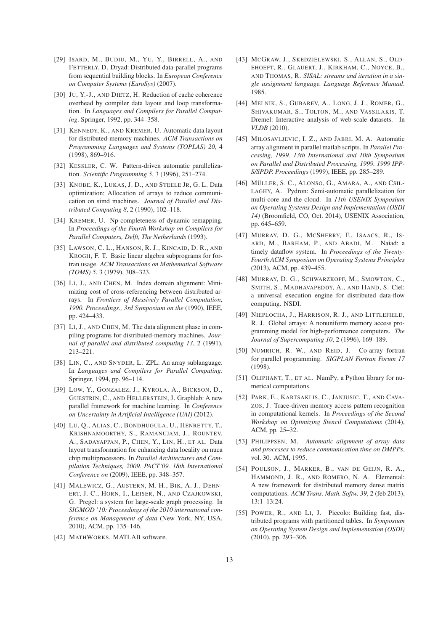- [29] ISARD, M., BUDIU, M., YU, Y., BIRRELL, A., AND FETTERLY, D. Dryad: Distributed data-parallel programs from sequential building blocks. In *European Conference on Computer Systems (EuroSys)* (2007).
- [30] JU, Y.-J., AND DIETZ, H. Reduction of cache coherence overhead by compiler data layout and loop transformation. In *Languages and Compilers for Parallel Computing*. Springer, 1992, pp. 344–358.
- [31] KENNEDY, K., AND KREMER, U. Automatic data layout for distributed-memory machines. *ACM Transactions on Programming Languages and Systems (TOPLAS) 20*, 4 (1998), 869–916.
- [32] KESSLER, C. W. Pattern-driven automatic parallelization. *Scientific Programming 5*, 3 (1996), 251–274.
- [33] KNOBE, K., LUKAS, J. D., AND STEELE JR, G. L. Data optimization: Allocation of arrays to reduce communication on simd machines. *Journal of Parallel and Distributed Computing 8*, 2 (1990), 102–118.
- [34] KREMER, U. Np-completeness of dynamic remapping. In *Proceedings of the Fourth Workshop on Compilers for Parallel Computers, Delft, The Netherlands* (1993).
- [35] LAWSON, C. L., HANSON, R. J., KINCAID, D. R., AND KROGH, F. T. Basic linear algebra subprograms for fortran usage. *ACM Transactions on Mathematical Software (TOMS) 5*, 3 (1979), 308–323.
- [36] LI, J., AND CHEN, M. Index domain alignment: Minimizing cost of cross-referencing between distributed arrays. In *Frontiers of Massively Parallel Computation, 1990. Proceedings., 3rd Symposium on the* (1990), IEEE, pp. 424–433.
- [37] LI, J., AND CHEN, M. The data alignment phase in compiling programs for distributed-memory machines. *Journal of parallel and distributed computing 13*, 2 (1991), 213–221.
- [38] LIN, C., AND SNYDER, L. ZPL: An array sublanguage. In *Languages and Compilers for Parallel Computing*. Springer, 1994, pp. 96–114.
- [39] LOW, Y., GONZALEZ, J., KYROLA, A., BICKSON, D., GUESTRIN, C., AND HELLERSTEIN, J. Graphlab: A new parallel framework for machine learning. In *Conference on Uncertainty in Artificial Intelligence (UAI)* (2012).
- [40] LU, Q., ALIAS, C., BONDHUGULA, U., HENRETTY, T., KRISHNAMOORTHY, S., RAMANUJAM, J., ROUNTEV, A., SADAYAPPAN, P., CHEN, Y., LIN, H., ET AL. Data layout transformation for enhancing data locality on nuca chip multiprocessors. In *Parallel Architectures and Compilation Techniques, 2009. PACT'09. 18th International Conference on* (2009), IEEE, pp. 348–357.
- [41] MALEWICZ, G., AUSTERN, M. H., BIK, A. J., DEHN-ERT, J. C., HORN, I., LEISER, N., AND CZAJKOWSKI, G. Pregel: a system for large-scale graph processing. In *SIGMOD '10: Proceedings of the 2010 international conference on Management of data* (New York, NY, USA, 2010), ACM, pp. 135–146.
- [42] MATHWORKS. MATLAB software.
- [43] MCGRAW, J., SKEDZIELEWSKI, S., ALLAN, S., OLD-EHOEFT, R., GLAUERT, J., KIRKHAM, C., NOYCE, B., AND THOMAS, R. *SISAL: streams and iteration in a single assignment language. Language Reference Manual*. 1985.
- [44] MELNIK, S., GUBAREV, A., LONG, J. J., ROMER, G., SHIVAKUMAR, S., TOLTON, M., AND VASSILAKIS, T. Dremel: Interactive analysis of web-scale datasets. In *VLDB* (2010).
- [45] MILOSAVLJEVIC, I. Z., AND JABRI, M. A. Automatic array alignment in parallel matlab scripts. In *Parallel Processing, 1999. 13th International and 10th Symposium on Parallel and Distributed Processing, 1999. 1999 IPP-S/SPDP. Proceedings* (1999), IEEE, pp. 285–289.
- [46] MÜLLER, S. C., ALONSO, G., AMARA, A., AND CSIL-LAGHY, A. Pydron: Semi-automatic parallelization for multi-core and the cloud. In *11th USENIX Symposium on Operating Systems Design and Implementation (OSDI 14)* (Broomfield, CO, Oct. 2014), USENIX Association, pp. 645–659.
- [47] MURRAY, D. G., MCSHERRY, F., ISAACS, R., IS-ARD, M., BARHAM, P., AND ABADI, M. Naiad: a timely dataflow system. In *Proceedings of the Twenty-Fourth ACM Symposium on Operating Systems Principles* (2013), ACM, pp. 439–455.
- [48] MURRAY, D. G., SCHWARZKOPF, M., SMOWTON, C., SMITH, S., MADHAVAPEDDY, A., AND HAND, S. Ciel: a universal execution engine for distributed data-flow computing. NSDI.
- [49] NIEPLOCHA, J., HARRISON, R. J., AND LITTLEFIELD, R. J. Global arrays: A nonuniform memory access programming model for high-performance computers. *The Journal of Supercomputing 10*, 2 (1996), 169–189.
- [50] NUMRICH, R. W., AND REID, J. Co-array fortran for parallel programming. *SIGPLAN Fortran Forum 17* (1998).
- [51] OLIPHANT, T., ET AL. NumPy, a Python library for numerical computations.
- [52] PARK, E., KARTSAKLIS, C., JANJUSIC, T., AND CAVA-ZOS, J. Trace-driven memory access pattern recognition in computational kernels. In *Proceedings of the Second Workshop on Optimizing Stencil Computations* (2014), ACM, pp. 25–32.
- [53] PHILIPPSEN, M. *Automatic alignment of array data and processes to reduce communication time on DMPPs*, vol. 30. ACM, 1995.
- [54] POULSON, J., MARKER, B., VAN DE GEIJN, R. A., HAMMOND, J. R., AND ROMERO, N. A. Elemental: A new framework for distributed memory dense matrix computations. *ACM Trans. Math. Softw. 39*, 2 (feb 2013), 13:1–13:24.
- [55] POWER, R., AND LI, J. Piccolo: Building fast, distributed programs with partitioned tables. In *Symposium on Operating System Design and Implementation (OSDI)* (2010), pp. 293–306.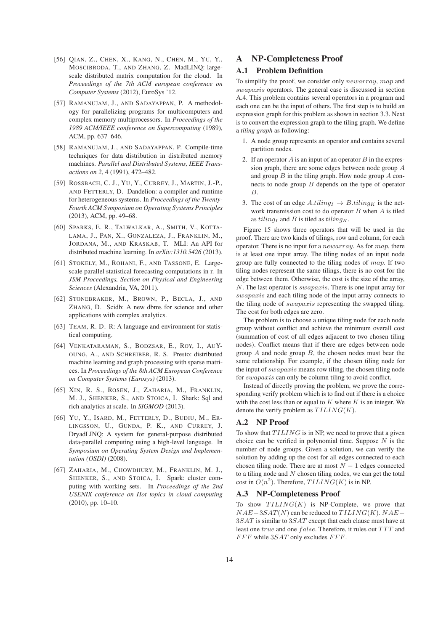- [56] QIAN, Z., CHEN, X., KANG, N., CHEN, M., YU, Y., MOSCIBRODA, T., AND ZHANG, Z. MadLINQ: largescale distributed matrix computation for the cloud. In *Proceedings of the 7th ACM european conference on Computer Systems* (2012), EuroSys '12.
- [57] RAMANUJAM, J., AND SADAYAPPAN, P. A methodology for parallelizing programs for multicomputers and complex memory multiprocessors. In *Proceedings of the 1989 ACM/IEEE conference on Supercomputing* (1989), ACM, pp. 637–646.
- [58] RAMANUJAM, J., AND SADAYAPPAN, P. Compile-time techniques for data distribution in distributed memory machines. *Parallel and Distributed Systems, IEEE Transactions on 2*, 4 (1991), 472–482.
- [59] ROSSBACH, C. J., YU, Y., CURREY, J., MARTIN, J.-P., AND FETTERLY, D. Dandelion: a compiler and runtime for heterogeneous systems. In *Proceedings of the Twenty-Fourth ACM Symposium on Operating Systems Principles* (2013), ACM, pp. 49–68.
- [60] SPARKS, E. R., TALWALKAR, A., SMITH, V., KOTTA-LAMA, J., PAN, X., GONZALEZA, J., FRANKLIN, M., JORDANA, M., AND KRASKAB, T. MLI: An API for distributed machine learning. In *arXiv:1310.5426* (2013).
- [61] STOKELY, M., ROHANI, F., AND TASSONE, E. Largescale parallel statistical forecasting computations in r. In *JSM Proceedings, Section on Physical and Engineering Sciences* (Alexandria, VA, 2011).
- [62] STONEBRAKER, M., BROWN, P., BECLA, J., AND ZHANG, D. Scidb: A new dbms for science and other applications with complex analytics.
- [63] TEAM, R. D. R: A language and environment for statistical computing.
- [64] VENKATARAMAN, S., BODZSAR, E., ROY, I., AUY-OUNG, A., AND SCHREIBER, R. S. Presto: distributed machine learning and graph processing with sparse matrices. In *Proceedings of the 8th ACM European Conference on Computer Systems (Eurosys)* (2013).
- [65] XIN, R. S., ROSEN, J., ZAHARIA, M., FRANKLIN, M. J., SHENKER, S., AND STOICA, I. Shark: Sql and rich analytics at scale. In *SIGMOD* (2013).
- [66] YU, Y., ISARD, M., FETTERLY, D., BUDIU, M., ER-LINGSSON, U., GUNDA, P. K., AND CURREY, J. DryadLINQ: A system for general-purpose distributed data-parallel computing using a high-level language. In *Symposium on Operating System Design and Implementation (OSDI)* (2008).
- [67] ZAHARIA, M., CHOWDHURY, M., FRANKLIN, M. J., SHENKER, S., AND STOICA, I. Spark: cluster computing with working sets. In *Proceedings of the 2nd USENIX conference on Hot topics in cloud computing* (2010), pp. 10–10.

# A NP-Completeness Proof

# A.1 Problem Definition

To simplify the proof, we consider only newarray, map and swapaxis operators. The general case is discussed in section A.4. This problem contains several operators in a program and each one can be the input of others. The first step is to build an expression graph for this problem as shown in section 3.3. Next is to convert the expression graph to the tiling graph. We define a *tiling graph* as following:

- 1. A node group represents an operator and contains several partition nodes.
- 2. If an operator  $A$  is an input of an operator  $B$  in the expression graph, there are some edges between node group A and group  $B$  in the tiling graph. How node group  $A$  connects to node group  $B$  depends on the type of operator B.
- 3. The cost of an edge  $A.tiling_I \rightarrow B.tiling_K$  is the network transmission cost to do operator  $B$  when  $A$  is tiled as  $tiling_I$  and B is tiled as  $tiling_K$ .

Figure 15 shows three operators that will be used in the proof. There are two kinds of tilings, row and column, for each operator. There is no input for a  $newarray$ . As for  $map$ , there is at least one input array. The tiling nodes of an input node group are fully connected to the tiling nodes of map. If two tiling nodes represent the same tilings, there is no cost for the edge between them. Otherwise, the cost is the size of the array, N. The last operator is swapaxis. There is one input array for swapaxis and each tiling node of the input array connects to the tiling node of *swapaxis* representing the swapped tiling. The cost for both edges are zero.

The problem is to choose a unique tiling node for each node group without conflict and achieve the minimum overall cost (summation of cost of all edges adjacent to two chosen tiling nodes). Conflict means that if there are edges between node group  $A$  and node group  $B$ , the chosen nodes must bear the same relationship. For example, if the chosen tiling node for the input of *swapaxis* means row tiling, the chosen tiling node for *swapaxis* can only be column tiling to avoid conflict.

Instead of directly proving the problem, we prove the corresponding verify problem which is to find out if there is a choice with the cost less than or equal to  $K$  where  $K$  is an integer. We denote the verify problem as  $TLING(K)$ .

### A.2 NP Proof

To show that  $TILING$  is in NP, we need to prove that a given choice can be verified in polynomial time. Suppose  $N$  is the number of node groups. Given a solution, we can verify the solution by adding up the cost for all edges connected to each chosen tiling node. There are at most  $N - 1$  edges connected to a tiling node and  $N$  chosen tiling nodes, we can get the total cost in  $O(n^2)$ . Therefore,  $TLING(K)$  is in NP.

## A.3 NP-Completeness Proof

To show  $TLING(K)$  is NP-Complete, we prove that  $NAE-3SAT(N)$  can be reduced to  $TILING(K)$ .  $NAE-$ 3SAT is similar to 3SAT except that each clause must have at least one true and one false. Therefore, it rules out TTT and  $FFF$  while  $3SAT$  only excludes  $FFF$ .